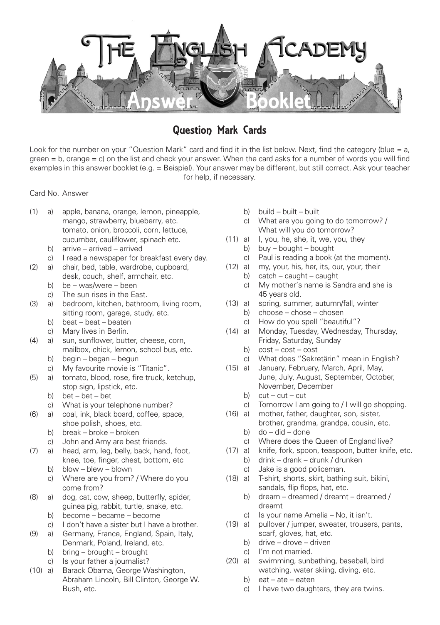

# Question Mark Cards

Look for the number on your "Question Mark" card and find it in the list below. Next, find the category (blue = a,  $green = b$ , orange  $= c$ ) on the list and check your answer. When the card asks for a number of words you will find examples in this answer booklet (e.g. = Beispiel). Your answer may be different, but still correct. Ask your teacher for help, if necessary.

Card No. Answer

- (1) a) apple, banana, orange, lemon, pineapple, mango, strawberry, blueberry, etc. tomato, onion, broccoli, corn, lettuce, cucumber, cauliflower, spinach etc.
	- b) arrive arrived arrived
	- c) I read a newspaper for breakfast every day.
- (2) a) chair, bed, table, wardrobe, cupboard, desk, couch, shelf, armchair, etc.
	- b) be was/were been
	- c) The sun rises in the East.
- (3) a) bedroom, kitchen, bathroom, living room, sitting room, garage, study, etc.
	- b) beat beat beaten
	- c) Mary lives in Berlin.
- (4) a) sun, sunflower, butter, cheese, corn, mailbox, chick, lemon, school bus, etc.
	- b) begin began begun
	- c) My favourite movie is "Titanic".
- (5) a) tomato, blood, rose, fire truck, ketchup, stop sign, lipstick, etc.
	- b) bet bet bet
	- c) What is your telephone number?
- (6) a) coal, ink, black board, coffee, space, shoe polish, shoes, etc.
	- b) break broke broken
	- c) John and Amy are best friends.
- (7) a) head, arm, leg, belly, back, hand, foot, knee, toe, finger, chest, bottom, etc
	- b) blow blew blown
	- c) Where are you from? / Where do you come from?
- (8) a) dog, cat, cow, sheep, butterfly, spider, guinea pig, rabbit, turtle, snake, etc.
	- b) become became become
	- c) I don't have a sister but I have a brother.
- (9) a) Germany, France, England, Spain, Italy, Denmark, Poland, Ireland, etc.
	- b) bring brought brought
	- c) Is your father a journalist?
- (10) a) Barack Obama, George Washington, Abraham Lincoln, Bill Clinton, George W. Bush, etc.
- b) build built built
- c) What are you going to do tomorrow? / What will you do tomorrow?
- (11) a) I, you, he, she, it, we, you, they
	- b) buy bought bought
	- c) Paul is reading a book (at the moment).
- (12) a) my, your, his, her, its, our, your, their
	- b)  $\c{catch caught caught}$
	- c) My mother's name is Sandra and she is 45 years old.
- (13) a) spring, summer, autumn/fall, winter
	- b) choose chose chosen
	- c) How do you spell "beautiful"?
- (14) a) Monday, Tuesday, Wednesday, Thursday, Friday, Saturday, Sunday
	- b)  $cost cost cost$
	- c) What does "Sekretärin" mean in English?
- (15) a) January, February, March, April, May, June, July, August, September, October, November, December
	- b)  $cut cut cut$
	- c) Tomorrow I am going to / I will go shopping.
- (16) a) mother, father, daughter, son, sister, brother, grandma, grandpa, cousin, etc.
	- b) do did done
	- c) Where does the Queen of England live?
- (17) a) knife, fork, spoon, teaspoon, butter knife, etc.
	- b) drink drank drunk / drunken
	- c) Jake is a good policeman.
- (18) a) T-shirt, shorts, skirt, bathing suit, bikini, sandals, flip flops, hat, etc.
	- b) dream dreamed / dreamt dreamed / dreamt
	- c) Is your name Amelia No, it isn't.
- (19) a) pullover / jumper, sweater, trousers, pants, scarf, gloves, hat, etc.
	- b) drive drove driven
	- c) I'm not married.
- (20) a) swimming, sunbathing, baseball, bird watching, water skiing, diving, etc.
	- b) eat ate eaten
	- c) I have two daughters, they are twins.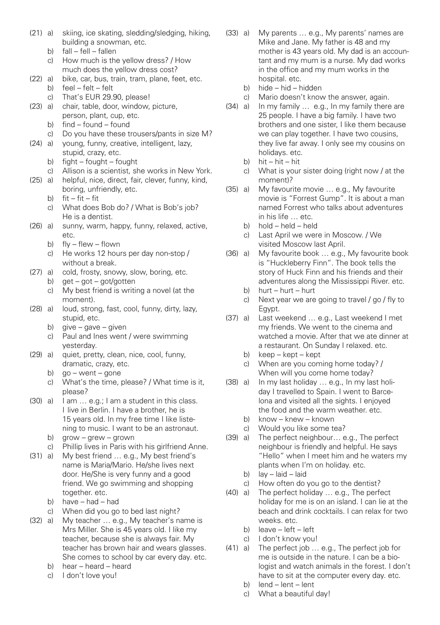- (21) a) skiing, ice skating, sledding/sledging, hiking, building a snowman, etc.<br>b)  $fall - fell - fall$ 
	- $fall fell fallen$
	- c) How much is the yellow dress? / How much does the yellow dress cost?
- (22) a) bike, car, bus, train, tram, plane, feet, etc.<br>b)  $feel felt felt$  $feel - felt - felt$ 
	- c) That's EUR 29.90, please!
- (23) a) chair, table, door, window, picture, person, plant, cup, etc.
	- b)  $find$  found found
- c) Do you have these trousers/pants in size M?<br>(24) a) voung, funny, creative, intelligent, lazy,
	- voung, funny, creative, intelligent, lazy, stupid, crazy, etc.
		- b) fight fought fought
		- c) Allison is a scientist, she works in New York.
- (25) a) helpful, nice, direct, fair, clever, funny, kind, boring, unfriendly, etc.
	- b)  $fit fit fit$
- c) What does Bob do? / What is Bob's job? He is a dentist.<br>(26) al sunny warm h
- sunny, warm, happy, funny, relaxed, active, etc.
	- b)  $f|v f|$ ew flown
	- c) He works 12 hours per day non-stop / without a break.
- (27) a) cold, frosty, snowy, slow, boring, etc.
	- b) get got got/gotten
	- c) My best friend is writing a novel (at the moment).
- (28) a) loud, strong, fast, cool, funny, dirty, lazy, stupid, etc.
	- b)  $qive qave qiven$
	- c) Paul and Ines went / were swimming yesterday.
- (29) a) quiet, pretty, clean, nice, cool, funny, dramatic, crazy, etc.
	- b) ao went gone
	- c) What's the time, please? / What time is it, please?
- (30) a) I am ... e.g.; I am a student in this class. I live in Berlin. I have a brother, he is 15 years old. In my free time I like liste ning to music. I want to be an astronaut.
	- b) grow grew grown
	- c) Phillip lives in Paris with his girlfriend Anne.
- (31) a) My best friend ... e.g., My best friend's name is Maria/Mario. He/she lives next door. He/She is very funny and a good friend. We go swimming and shopping together. etc.
	- b) have had had
	- c) When did you go to bed last night?
- (32) a) My teacher ... e.g., My teacher's name is Mrs Miller. She is 45 years old. I like my teacher, because she is always fair. My teacher has brown hair and wears glasses. She comes to school by car every day. etc.
	- b) hear heard heard
	- c) I don't love you!
- (33) a) My parents ... e.g., My parents' names are Mike and Jane. My father is 48 and my mother is 43 years old. My dad is an accoun tant and my mum is a nurse. My dad works in the office and my mum works in the hospital. etc.<br>b) hide – hid – h
	- $h$ ide hid hidden
	- c) Mario doesn't know the answer, again.
- (34) a) In my family ... e.g., In my family there are 25 people. I have a big family. I have two brothers and one sister, I like them because we can play together. I have two cousins, they live far away. I only see my cousins on holidays. etc.
	- b) hit hit hit
	- $c)$  What is your sister doing (right now  $\ell$  at the moment)?
- (35) a) My favourite movie ... e.g., My favourite movie is "Forrest Gump". It is about a man named Forrest who talks about adventures in his life … etc.
	- b) hold held held
	- c) Last April we were in Moscow. / We visited Moscow last April.
- (36) a) My favourite book ... e.g., My favourite book is "Huckleberry Finn". The book tells the story of Huck Finn and his friends and their adventures along the Mississippi River. etc.
	- b) hurt hurt hurt
	- c) Next year we are going to travel / go / fly to
- Egypt.<br>(37) a) Last w Last weekend ... e.g., Last weekend I met my friends. We went to the cinema and watched a movie. After that we ate dinner at a restaurant. On Sunday I relaxed. etc.
	- b) keep kept kept
	- c) When are you coming home today? / When will you come home today?
- (38) a) In my last holiday ... e.g., In my last holi day I travelled to Spain. I went to Barce lona and visited all the sights. I enjoyed the food and the warm weather. etc.
	- b) know knew known
	- c) Would you like some tea?
- (39) a) The perfect neighbour... e.g., The perfect neighbour is friendly and helpful. He says "Hello" when I meet him and he waters my plants when I'm on holiday. etc.
	- b) lay laid laid
- c) How often do you go to the dentist?<br>(40) a) The perfect holiday ... e.g.. The perfect
- The perfect holiday ... e.g., The perfect holiday for me is on an island. I can lie at the beach and drink cocktails. I can relax for two weeks. etc.
	- b) leave left left
	- c) I don't know you!
- (41) a) The perfect job ... e.g., The perfect job for me is outside in the nature. I can be a bio- logist and watch animals in the forest. I don't have to sit at the computer every day. etc.
	- b) lend lent lent
	- c) What a beautiful day!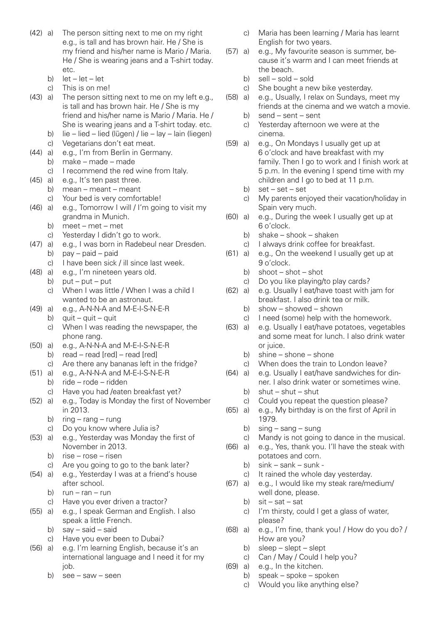- (42) a) The person sitting next to me on my right e.g., is tall and has brown hair. He / She is my friend and his/her name is Mario / Maria. He / She is wearing jeans and a T-shirt today. etc.
	- b) let let let let –
	- This is on me!
- (43) a) The person sitting next to me on my left e.g., is tall and has brown hair. He / She is my friend and his/her name is Mario / Maria. He / She is wearing jeans and a T-shirt today, etc.
	- b) lie lied lied (lügen) / lie lay lain (liegen) c) Vegetarians don't eat meat.
- (44) a) e.g., I'm from Berlin in Germany.
	- b) make made made
	- c) I recommend the red wine from Italy.
- (45) a) e.g., It's ten past three.
	- b) mean meant meant
		- c) Your bed is very comfortable!
- (46) a) e.g., Tomorrow I will / I'm going to visit my grandma in Munich.
	- b) meet met met
	- c) Yesterday I didn't go to work.
- (47) a) e.g., I was born in Radebeul near Dresden.
	- b) pay paid paid
		- c) I have been sick / ill since last week.
- (48) a) e.g., I'm nineteen years old.
	- b)  $put put put$ 
		- c) When I was little / When I was a child I wanted to be an astronaut.
- (49) a) e.g., A-N-N-A and M-E-I-S-N-E-R
	- b)  $q$  auit quit quit
	- c) When I was reading the newspaper, the phone rang.
- (50) a) e.g., A-N-N-A and M-E-I-S-N-E-R
	- b) read read [red] read [red]
	- c) Are there any bananas left in the fridge?
- $(51)$  a) e.g., A-N-N-A and M-F-I-S-N-F-R b) ride – rode – ridden
	- c) Have you had /eaten breakfast yet?
- (52) a) e.g., Today is Monday the first of November in 2013.
	- b)  $ring rang rung$
	- c) Do you know where Julia is?
- (53) a) e.g., Yesterday was Monday the first of November in 2013.
	- b) rise rose risen
	- c) Are you going to go to the bank later?
- (54) a) e.g., Yesterday I was at a friend's house after school.
	- b)  $run ran run$
	- c) Have you ever driven a tractor?
- (55) a) e.g., I speak German and English. I also speak a little French.
	- b) say said said
	- c) Have you ever been to Dubai?
- (56) a) e.g. I'm learning English, because it's an international language and I need it for my job.
	- b)  $\text{see} \text{ saw} \text{seen}$
- c) Maria has been learning / Maria has learnt English for two years.<br>(57) all elgi My favourite sea
- e.g., My favourite season is summer, be- cause it's warm and I can meet friends at the beach.
	- b) sell sold sold<br>c) She bought a ne
	- She bought a new bike yesterday.
- (58) a) e.g., Usually, I relax on Sundays, meet my friends at the cinema and we watch a movie.<br>b) send – sent – sent
	- $send sent sent$
- c) Yesterday afternoon we were at the cinema.<br>(59) a) e.g., On
- e.g., On Mondays I usually get up at 6 o'clock and have breakfast with my family. Then I go to work and I finish work at 5 p.m. In the evening I spend time with my children and I go to bed at 11 p.m.
	- b) set set set
	- c) My parents enjoyed their vacation/holiday in Spain very much.
- (60) a) e.g., During the week I usually get up at 6 o'clock.
	- b) shake shook shaken
	- c) I always drink coffee for breakfast.
- (61) a) e.g., On the weekend I usually get up at 9 o'clock.
	- b) shoot shot shot
	- c) Do you like playing/to play cards?
- (62) a) e.g. Usually I eat/have toast with jam for breakfast. I also drink tea or milk.
	- b) show showed shown
	- c) I need (some) help with the homework.
- (63) a) e.g. Usually I eat/have potatoes, vegetables and some meat for lunch. I also drink water or juice.
	- b) shine shone shone
	- c) When does the train to London leave?
- (64) a) e.g. Usually I eat/have sandwiches for din ner. I also drink water or sometimes wine.
	- b) shut shut shut
	- c) Could you repeat the question please?
- (65) a) e.g., My birthday is on the first of April in 1979.
	- b) sing sang sung
	- c) Mandy is not going to dance in the musical.
- (66) a) e.g., Yes, thank you. I'll have the steak with potatoes and corn.
	- b)  $\sin k \sin k \sin k \sin k$
	- c) It rained the whole day yesterday.
- (67) a) e.g., I would like my steak rare/medium/ well done, please.
	- b)  $\sin \sin \sin \sin \theta$
	- c) I'm thirsty, could I get a glass of water, please?
- (68) a) e.g., I'm fine, thank you! / How do you do? / How are you?
	- b) sleep slept slept
	- c) Can / May / Could I help you?
- (69) a) e.g., In the kitchen.
	- b) speak spoke spoken
	- c) Would you like anything else?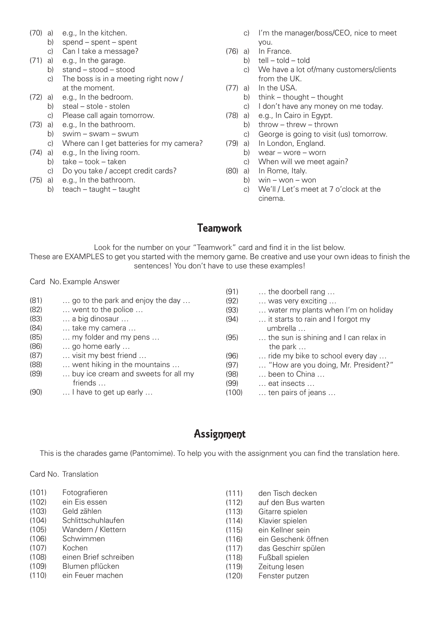- (70) a) e.g., In the kitchen.
	- b) spend spent spent
	- c) Can I take a message?
- (71) a) e.g., In the garage.
	- b) stand stood stood
	- c) The boss is in a meeting right now / at the moment.
- (72) a) e.g., In the bedroom.
	- b) steal stole stolen
	- c) Please call again tomorrow.
- (73) a) e.g., In the bathroom.
	- b) swim swam swum
	- c) Where can I get batteries for my camera?
- (74) a) e.g., In the living room. b)  $take - took - taken$ 
	- c) Do you take / accept credit cards?
- (75) a) e.g., In the bathroom.
	- b) teach taught taught
- c) I'm the manager/boss/CEO, nice to meet you.
- (76) a) In France.
	- b) tell told told
		- c) We have a lot of/many customers/clients from the UK.
- (77) a) In the USA.
	- b) think thought thought
	- c) I don't have any money on me today.
- (78) a) e.g., In Cairo in Egypt.
	- b) throw threw thrown
	- c) George is going to visit (us) tomorrow.
- (79) a) In London, England.
- b) wear wore worn
- c) When will we meet again?
- (80) a) In Rome, Italy.
	- b)  $win won won$
	- c) We'll / Let's meet at 7 o'clock at the cinema.

# **Teamwork**

Look for the number on your "Teamwork" card and find it in the list below. These are EXAMPLES to get you started with the memory game. Be creative and use your own ideas to finish the sentences! You don't have to use these examples!

Card No.Example Answer

|      |                                     | (91)  | the doorbell rang                     |
|------|-------------------------------------|-------|---------------------------------------|
| (81) | go to the park and enjoy the day    | (92)  | was very exciting                     |
| (82) | went to the police                  | (93)  | water my plants when I'm on holiday   |
| (83) | a big dinosaur                      | (94)  | it starts to rain and I forgot my     |
| (84) | take my camera                      |       | umbrella                              |
| (85) | my folder and my pens               | (95)  | the sun is shining and I can relax in |
| (86) | go home early                       |       | the park                              |
| (87) | visit my best friend                | (96)  | ride my bike to school every day      |
| (88) | went hiking in the mountains        | (97)  | "How are you doing, Mr. President?"   |
| (89) | buy ice cream and sweets for all my | (98)  | been to China                         |
|      | friends                             | (99)  | eat insects                           |
| (90) | I have to get up early              | (100) | ten pairs of jeans                    |
|      |                                     |       |                                       |

## Assignment

This is the charades game (Pantomime). To help you with the assignment you can find the translation here.

Card No. Translation

| (101) | Fotografieren         | (111) | den Tisch decken    |
|-------|-----------------------|-------|---------------------|
| (102) | ein Eis essen         | (112) | auf den Bus warten  |
| (103) | Geld zählen           | (113) | Gitarre spielen     |
| (104) | Schlittschuhlaufen    | (114) | Klavier spielen     |
| (105) | Wandern / Klettern    | (115) | ein Kellner sein    |
| (106) | Schwimmen             | (116) | ein Geschenk öffnen |
| (107) | Kochen                | (117) | das Geschirr spülen |
| (108) | einen Brief schreiben | (118) | Fußball spielen     |
| (109) | Blumen pflücken       | (119) | Zeitung lesen       |
| (110) | ein Feuer machen      | (120) | Fenster putzen      |
|       |                       |       |                     |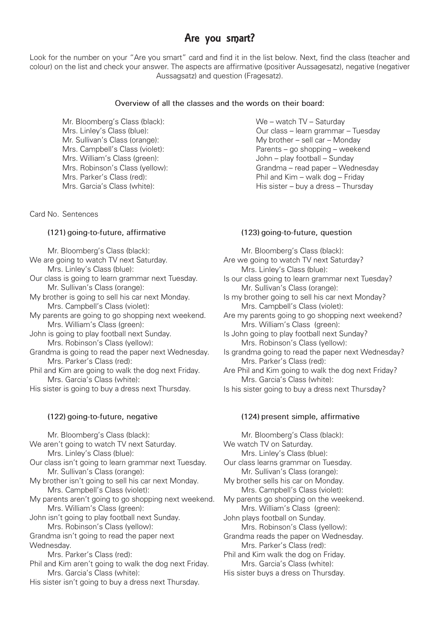## Are you smart?

Look for the number on your "Are you smart" card and find it in the list below. Next, find the class (teacher and colour) on the list and check your answer. The aspects are affirmative (positiver Aussagesatz), negative (negativer Aussagsatz) and question (Fragesatz).

#### **Overview of all the classes and the words on their board:**

 Mr. Bloomberg's Class (black): We – watch TV – Saturday Mrs. William's Class (green): John – play football – Sunday

Card No. Sentences

#### **(121) going-to-future, affirmative**

 Mr. Bloomberg's Class (black): 

- We are going to watch TV next Saturday. Mrs. Linley's Class (blue):
- Our class is going to learn grammar next Tuesday. Mr. Sullivan's Class (orange):
- My brother is going to sell his car next Monday. Mrs. Campbell's Class (violet):
- My parents are going to go shopping next weekend. Mrs. William's Class (green):
- John is going to play football next Sunday. Mrs. Robinson's Class (yellow):
- Grandma is going to read the paper next Wednesday. Mrs. Parker's Class (red):
- Phil and Kim are going to walk the dog next Friday. Mrs. Garcia's Class (white):
- His sister is going to buy a dress next Thursday.

## **(122) going-to-future, negative**

 Mr. Bloomberg's Class (black): 

- We aren't going to watch TV next Saturday. Mrs. Linley's Class (blue):
- Our class isn't going to learn grammar next Tuesday. Mr. Sullivan's Class (orange):
- My brother isn't going to sell his car next Monday. Mrs. Campbell's Class (violet):
- My parents aren't going to go shopping next weekend. Mrs. William's Class (green):
- John isn't going to play football next Sunday. Mrs. Robinson's Class (yellow):
- Grandma isn't going to read the paper next Wednesday.
	- Mrs. Parker's Class (red):
- Phil and Kim aren't going to walk the dog next Friday. Mrs. Garcia's Class (white):
- His sister isn't going to buy a dress next Thursday.

Mrs. Linley's Class (blue): Cur class – learn grammar – Tuesday<br>
Mr. Sullivan's Class (orange): Cur class – Movimer – sell car – Mondav My brother – sell car – Monday Mrs. Campbell's Class (violet): Parents – go shopping – weekend Mrs. Robinson's Class (yellow): Grandma – read paper – Wednesday Mrs. Parker's Class (red): Phil and Kim – walk dog – Friday Mrs. Garcia's Class (white): His sister – buy a dress – Thursday

### **(123) going-to-future, question**

 Mr. Bloomberg's Class (black): Are we going to watch TV next Saturday? Mrs. Linley's Class (blue): Is our class going to learn grammar next Tuesday? Mr. Sullivan's Class (orange): Is my brother going to sell his car next Monday? Mrs. Campbell's Class (violet): Are my parents going to go shopping next weekend? Mrs. William's Class (green): Is John going to play football next Sunday? Mrs. Robinson's Class (yellow): Is grandma going to read the paper next Wednesday? Mrs. Parker's Class (red): Are Phil and Kim going to walk the dog next Friday? Mrs. Garcia's Class (white): 

Is his sister going to buy a dress next Thursday?

#### **(124) present simple, affirmative**

 Mr. Bloomberg's Class (black): We watch TV on Saturday. Mrs. Linley's Class (blue): Our class learns grammar on Tuesday. Mr. Sullivan's Class (orange): My brother sells his car on Monday. Mrs. Campbell's Class (violet): My parents go shopping on the weekend. Mrs. William's Class (green): John plays football on Sunday. Mrs. Robinson's Class (yellow): Grandma reads the paper on Wednesday. Mrs. Parker's Class (red): Phil and Kim walk the dog on Friday. Mrs. Garcia's Class (white): 

His sister buys a dress on Thursday.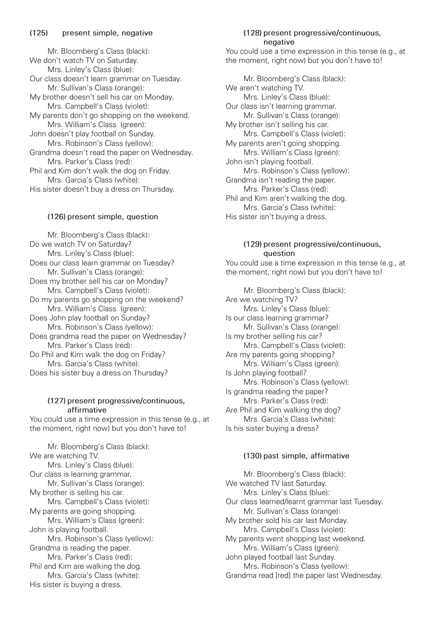Mr. Bloomberg's Class (black): We don't watch TV on Saturday. Mrs. Linley's Class (blue): Our class doesn't learn grammar on Tuesday. Mr. Sullivan's Class (orange): My brother doesn't sell his car on Monday. Mrs. Campbell's Class (violet): My parents don't go shopping on the weekend. Mrs. William's Class (green): John doesn't play football on Sunday. Mrs. Robinson's Class (yellow): Grandma doesn't read the paper on Wednesday. Mrs. Parker's Class (red): Phil and Kim don't walk the dog on Friday. Mrs. Garcia's Class (white): His sister doesn't buy a dress on Thursday.

## **(126) present simple, question**

 Mr. Bloomberg's Class (black): Do we watch TV on Saturday? Mrs. Linley's Class (blue): Does our class learn grammar on Tuesday? Mr. Sullivan's Class (orange): Does my brother sell his car on Monday? Mrs. Campbell's Class (violet): Do my parents go shopping on the weekend? Mrs. William's Class (green): Does John play football on Sunday? Mrs. Robinson's Class (yellow): Does grandma read the paper on Wednesday? Mrs. Parker's Class (red): Do Phil and Kim walk the dog on Friday? Mrs. Garcia's Class (white): Does his sister buy a dress on Thursday?

### **(127) present progressive/continuous, affirmative**

You could use a time expression in this tense (e.g., at the moment, right now) but you don't have to!

 Mr. Bloomberg's Class (black): We are watching TV. Mrs. Linley's Class (blue): Our class is learning grammar. Mr. Sullivan's Class (orange): My brother is selling his car. Mrs. Campbell's Class (violet): My parents are going shopping. Mrs. William's Class (green): John is playing football. Mrs. Robinson's Class (yellow): Grandma is reading the paper. Mrs. Parker's Class (red): Phil and Kim are walking the dog. Mrs. Garcia's Class (white): His sister is buying a dress.

#### **(128) present progressive/continuous, negative**

You could use a time expression in this tense (e.g., at the moment, right now) but you don't have to!

 Mr. Bloomberg's Class (black): We aren't watching TV. Mrs. Linley's Class (blue): Our class isn't learning grammar. Mr. Sullivan's Class (orange): My brother isn't selling his car. Mrs. Campbell's Class (violet): My parents aren't going shopping. Mrs. William's Class (green): John isn't playing football. Mrs. Robinson's Class (yellow): Grandma isn't reading the paper. Mrs. Parker's Class (red): Phil and Kim aren't walking the dog. Mrs. Garcia's Class (white): His sister isn't buying a dress.

#### **(129) present progressive/continuous, question**

You could use a time expression in this tense (e.g., at the moment, right now) but you don't have to!

 Mr. Bloomberg's Class (black): Are we watching TV? Mrs. Linley's Class (blue): Is our class learning grammar? Mr. Sullivan's Class (orange): Is my brother selling his car? Mrs. Campbell's Class (violet): Are my parents going shopping? Mrs. William's Class (green): Is John playing football? Mrs. Robinson's Class (yellow): Is grandma reading the paper? Mrs. Parker's Class (red): Are Phil and Kim walking the dog? Mrs. Garcia's Class (white): Is his sister buying a dress?

#### **(130) past simple, affirmative**

 Mr. Bloomberg's Class (black): We watched TV last Saturday. Mrs. Linley's Class (blue): Our class learned/learnt grammar last Tuesday. Mr. Sullivan's Class (orange): My brother sold his car last Monday. Mrs. Campbell's Class (violet): My parents went shopping last weekend. Mrs. William's Class (green): John played football last Sunday. Mrs. Robinson's Class (yellow): Grandma read [red] the paper last Wednesday.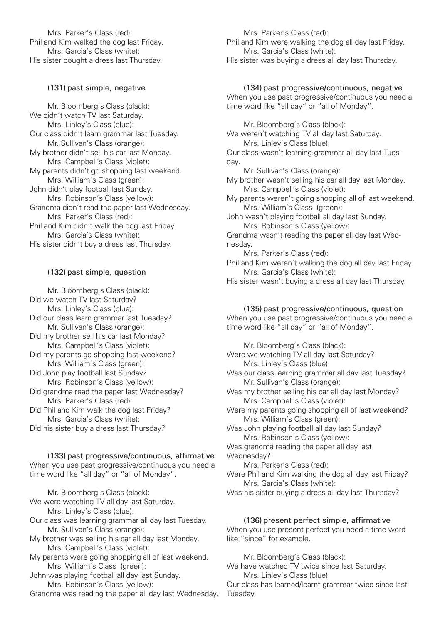Mrs. Parker's Class (red): Phil and Kim walked the dog last Friday. Mrs. Garcia's Class (white): His sister bought a dress last Thursday.

## **(131) past simple, negative**

 Mr. Bloomberg's Class (black): We didn't watch TV last Saturday. Mrs. Linley's Class (blue): Our class didn't learn grammar last Tuesday. Mr. Sullivan's Class (orange): My brother didn't sell his car last Monday. Mrs. Campbell's Class (violet): My parents didn't go shopping last weekend Mrs. William's Class (green): John didn't play football last Sunday. Mrs. Robinson's Class (yellow): Grandma didn't read the paper last Wednesday. Mrs. Parker's Class (red): Phil and Kim didn't walk the dog last Friday. Mrs. Garcia's Class (white): His sister didn't buy a dress last Thursday.

#### **(132) past simple, question**

 Mr. Bloomberg's Class (black): Did we watch TV last Saturday? Mrs. Linley's Class (blue): Did our class learn grammar last Tuesday? Mr. Sullivan's Class (orange): Did my brother sell his car last Monday? Mrs. Campbell's Class (violet): Did my parents go shopping last weekend? Mrs. William's Class (green): Did John play football last Sunday? Mrs. Robinson's Class (yellow): Did grandma read the paper last Wednesday? Mrs. Parker's Class (red): Did Phil and Kim walk the dog last Friday?

 Mrs. Garcia's Class (white): 

Did his sister buy a dress last Thursday?

**(133) past progressive/continuous, affirmative**  When you use past progressive/continuous you need a time word like "all day" or "all of Monday".

 Mr. Bloomberg's Class (black): 

We were watching TV all day last Saturday. Mrs. Linley's Class (blue): 

Our class was learning grammar all day last Tuesday. Mr. Sullivan's Class (orange):

My brother was selling his car all day last Monday. Mrs. Campbell's Class (violet): 

My parents were going shopping all of last weekend. Mrs. William's Class (green): 

John was playing football all day last Sunday. Mrs. Robinson's Class (yellow):

Grandma was reading the paper all day last Wednesday.

 Mrs. Parker's Class (red): Phil and Kim were walking the dog all day last Friday. Mrs. Garcia's Class (white): 

His sister was buying a dress all day last Thursday.

#### **(134) past progressive/continuous, negative**

When you use past progressive/continuous you need a time word like "all day" or "all of Monday".

 Mr. Bloomberg's Class (black): We weren't watching TV all day last Saturday. Mrs. Linley's Class (blue): Our class wasn't learning grammar all day last Tuesday. Mr. Sullivan's Class (orange): My brother wasn't selling his car all day last Monday. Mrs. Campbell's Class (violet): My parents weren't going shopping all of last weekend. Mrs. William's Class (green): 

John wasn't playing football all day last Sunday. Mrs. Robinson's Class (yellow):

Grandma wasn't reading the paper all day last Wednesday.

 Mrs. Parker's Class (red): 

Phil and Kim weren't walking the dog all day last Friday. Mrs. Garcia's Class (white): 

His sister wasn't buying a dress all day last Thursday.

#### **(135) past progressive/continuous, question**

When you use past progressive/continuous you need a time word like "all day" or "all of Monday".

 Mr. Bloomberg's Class (black): 

Were we watching TV all day last Saturday? Mrs. Linley's Class (blue): Was our class learning grammar all day last Tuesday?

 Mr. Sullivan's Class (orange):

Was my brother selling his car all day last Monday? Mrs. Campbell's Class (violet): 

Were my parents going shopping all of last weekend? Mrs. William's Class (green): 

Was John playing football all day last Sunday? Mrs. Robinson's Class (yellow):

Was grandma reading the paper all day last Wednesday?

 Mrs. Parker's Class (red): 

Were Phil and Kim walking the dog all day last Friday? Mrs. Garcia's Class (white): 

Was his sister buying a dress all day last Thursday?

#### **(136) present perfect simple, affirmative**

When you use present perfect you need a time word like "since" for example.

 Mr. Bloomberg's Class (black): 

We have watched TV twice since last Saturday. Mrs. Linley's Class (blue): 

Our class has learned/learnt grammar twice since last Tuesday.